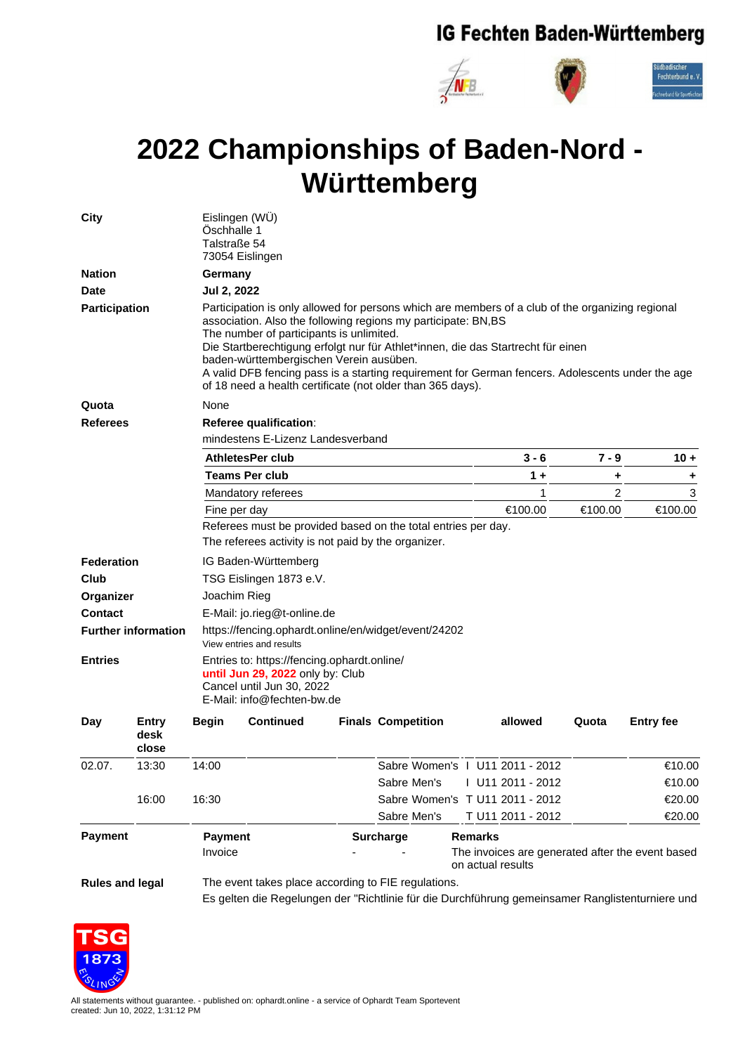## IG Fechten Baden-Württemberg



## **2022 Championships of Baden-Nord - Württemberg**

| <b>City</b>                |                        | Eislingen (WÜ)<br>Öschhalle 1<br>Talstraße 54<br>73054 Eislingen                                                                                                                                                                                                                                                                                                                                                                                                                                               |                                                     |  |                           |                                                                                                  |         |                  |  |
|----------------------------|------------------------|----------------------------------------------------------------------------------------------------------------------------------------------------------------------------------------------------------------------------------------------------------------------------------------------------------------------------------------------------------------------------------------------------------------------------------------------------------------------------------------------------------------|-----------------------------------------------------|--|---------------------------|--------------------------------------------------------------------------------------------------|---------|------------------|--|
| <b>Nation</b>              |                        | Germany                                                                                                                                                                                                                                                                                                                                                                                                                                                                                                        |                                                     |  |                           |                                                                                                  |         |                  |  |
| <b>Date</b>                |                        | Jul 2, 2022                                                                                                                                                                                                                                                                                                                                                                                                                                                                                                    |                                                     |  |                           |                                                                                                  |         |                  |  |
| Participation              |                        | Participation is only allowed for persons which are members of a club of the organizing regional<br>association. Also the following regions my participate: BN,BS<br>The number of participants is unlimited.<br>Die Startberechtigung erfolgt nur für Athlet*innen, die das Startrecht für einen<br>baden-württembergischen Verein ausüben.<br>A valid DFB fencing pass is a starting requirement for German fencers. Adolescents under the age<br>of 18 need a health certificate (not older than 365 days). |                                                     |  |                           |                                                                                                  |         |                  |  |
| Quota                      |                        | None                                                                                                                                                                                                                                                                                                                                                                                                                                                                                                           |                                                     |  |                           |                                                                                                  |         |                  |  |
| <b>Referees</b>            |                        | Referee qualification:                                                                                                                                                                                                                                                                                                                                                                                                                                                                                         |                                                     |  |                           |                                                                                                  |         |                  |  |
|                            |                        | mindestens E-Lizenz Landesverband                                                                                                                                                                                                                                                                                                                                                                                                                                                                              |                                                     |  |                           |                                                                                                  |         |                  |  |
|                            |                        | AthletesPer club                                                                                                                                                                                                                                                                                                                                                                                                                                                                                               |                                                     |  |                           | $3 - 6$                                                                                          | $7 - 9$ | $10 +$           |  |
|                            |                        |                                                                                                                                                                                                                                                                                                                                                                                                                                                                                                                | <b>Teams Per club</b>                               |  |                           | $1 +$                                                                                            | ٠       | ٠                |  |
|                            |                        |                                                                                                                                                                                                                                                                                                                                                                                                                                                                                                                | Mandatory referees                                  |  |                           | 1                                                                                                | 2       | 3                |  |
|                            |                        | Fine per day                                                                                                                                                                                                                                                                                                                                                                                                                                                                                                   |                                                     |  |                           | €100.00                                                                                          | €100.00 | €100.00          |  |
|                            |                        | Referees must be provided based on the total entries per day.                                                                                                                                                                                                                                                                                                                                                                                                                                                  |                                                     |  |                           |                                                                                                  |         |                  |  |
|                            |                        |                                                                                                                                                                                                                                                                                                                                                                                                                                                                                                                | The referees activity is not paid by the organizer. |  |                           |                                                                                                  |         |                  |  |
| Federation                 |                        | IG Baden-Württemberg                                                                                                                                                                                                                                                                                                                                                                                                                                                                                           |                                                     |  |                           |                                                                                                  |         |                  |  |
| Club                       |                        | TSG Eislingen 1873 e.V.                                                                                                                                                                                                                                                                                                                                                                                                                                                                                        |                                                     |  |                           |                                                                                                  |         |                  |  |
| Organizer                  |                        | Joachim Rieg                                                                                                                                                                                                                                                                                                                                                                                                                                                                                                   |                                                     |  |                           |                                                                                                  |         |                  |  |
| <b>Contact</b>             |                        | E-Mail: jo.rieg@t-online.de                                                                                                                                                                                                                                                                                                                                                                                                                                                                                    |                                                     |  |                           |                                                                                                  |         |                  |  |
| <b>Further information</b> |                        | https://fencing.ophardt.online/en/widget/event/24202<br>View entries and results                                                                                                                                                                                                                                                                                                                                                                                                                               |                                                     |  |                           |                                                                                                  |         |                  |  |
| <b>Entries</b>             |                        | Entries to: https://fencing.ophardt.online/<br>until Jun 29, 2022 only by: Club<br>Cancel until Jun 30, 2022<br>E-Mail: info@fechten-bw.de                                                                                                                                                                                                                                                                                                                                                                     |                                                     |  |                           |                                                                                                  |         |                  |  |
| Day                        | Entry<br>desk<br>close | Begin                                                                                                                                                                                                                                                                                                                                                                                                                                                                                                          | <b>Continued</b>                                    |  | <b>Finals Competition</b> | allowed                                                                                          | Quota   | <b>Entry fee</b> |  |
| 02.07.                     | 13:30                  | 14:00                                                                                                                                                                                                                                                                                                                                                                                                                                                                                                          |                                                     |  |                           | Sabre Women's   U11 2011 - 2012                                                                  |         | €10.00           |  |
|                            |                        |                                                                                                                                                                                                                                                                                                                                                                                                                                                                                                                |                                                     |  | Sabre Men's               | U11 2011 - 2012                                                                                  |         | €10.00           |  |
|                            | 16:00                  | 16:30                                                                                                                                                                                                                                                                                                                                                                                                                                                                                                          |                                                     |  |                           | Sabre Women's T U11 2011 - 2012                                                                  |         | €20.00           |  |
|                            |                        |                                                                                                                                                                                                                                                                                                                                                                                                                                                                                                                |                                                     |  | Sabre Men's               | T U11 2011 - 2012                                                                                |         | €20.00           |  |
| <b>Payment</b>             |                        | <b>Payment</b><br>Invoice                                                                                                                                                                                                                                                                                                                                                                                                                                                                                      |                                                     |  | <b>Surcharge</b>          | <b>Remarks</b><br>The invoices are generated after the event based<br>on actual results          |         |                  |  |
| <b>Rules and legal</b>     |                        |                                                                                                                                                                                                                                                                                                                                                                                                                                                                                                                | The event takes place according to FIE regulations. |  |                           | Es gelten die Regelungen der "Richtlinie für die Durchführung gemeinsamer Ranglistenturniere und |         |                  |  |



All statements without guarantee. - published on: ophardt.online - a service of Ophardt Team Sportevent created: Jun 10, 2022, 1:31:12 PM